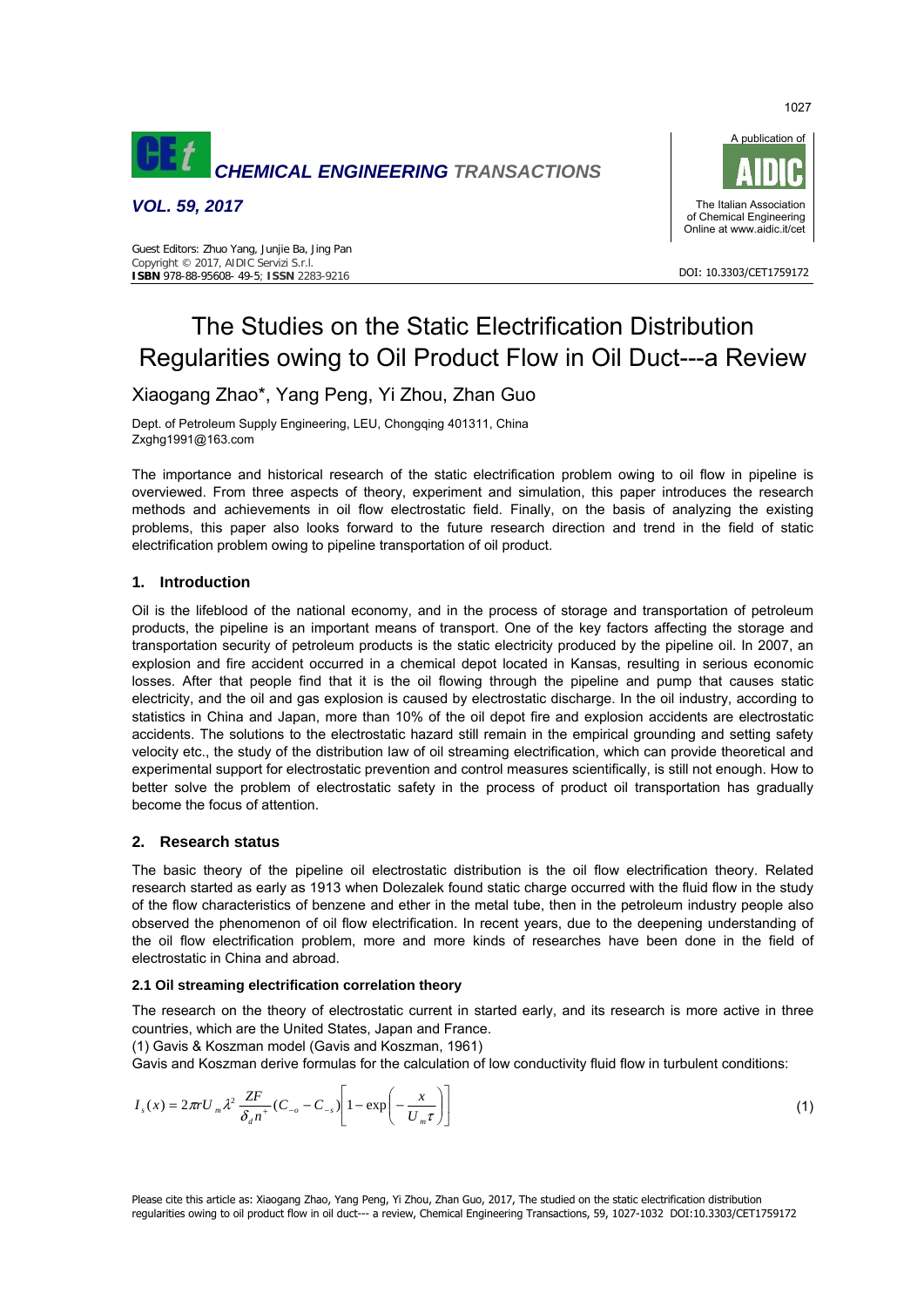

*VOL. 59, 2017* 





DOI: 10.3303/CET1759172

# The Studies on the Static Electrification Distribution Regularities owing to Oil Product Flow in Oil Duct---a Review

# Xiaogang Zhao\*, Yang Peng, Yi Zhou, Zhan Guo

Dept. of Petroleum Supply Engineering, LEU, Chongqing 401311, China Zxghg1991@163.com

The importance and historical research of the static electrification problem owing to oil flow in pipeline is overviewed. From three aspects of theory, experiment and simulation, this paper introduces the research methods and achievements in oil flow electrostatic field. Finally, on the basis of analyzing the existing problems, this paper also looks forward to the future research direction and trend in the field of static electrification problem owing to pipeline transportation of oil product.

# **1. Introduction**

Oil is the lifeblood of the national economy, and in the process of storage and transportation of petroleum products, the pipeline is an important means of transport. One of the key factors affecting the storage and transportation security of petroleum products is the static electricity produced by the pipeline oil. In 2007, an explosion and fire accident occurred in a chemical depot located in Kansas, resulting in serious economic losses. After that people find that it is the oil flowing through the pipeline and pump that causes static electricity, and the oil and gas explosion is caused by electrostatic discharge. In the oil industry, according to statistics in China and Japan, more than 10% of the oil depot fire and explosion accidents are electrostatic accidents. The solutions to the electrostatic hazard still remain in the empirical grounding and setting safety velocity etc., the study of the distribution law of oil streaming electrification, which can provide theoretical and experimental support for electrostatic prevention and control measures scientifically, is still not enough. How to better solve the problem of electrostatic safety in the process of product oil transportation has gradually become the focus of attention.

# **2. Research status**

The basic theory of the pipeline oil electrostatic distribution is the oil flow electrification theory. Related research started as early as 1913 when Dolezalek found static charge occurred with the fluid flow in the study of the flow characteristics of benzene and ether in the metal tube, then in the petroleum industry people also observed the phenomenon of oil flow electrification. In recent years, due to the deepening understanding of the oil flow electrification problem, more and more kinds of researches have been done in the field of electrostatic in China and abroad.

# **2.1 Oil streaming electrification correlation theory**

The research on the theory of electrostatic current in started early, and its research is more active in three countries, which are the United States, Japan and France.

(1) Gavis & Koszman model (Gavis and Koszman, 1961)

Gavis and Koszman derive formulas for the calculation of low conductivity fluid flow in turbulent conditions:

$$
I_s(x) = 2\pi r U_m \lambda^2 \frac{ZF}{\delta_d n^+} (C_{-\sigma} - C_{-s}) \left[ 1 - \exp\left(-\frac{x}{U_m \tau}\right) \right]
$$
(1)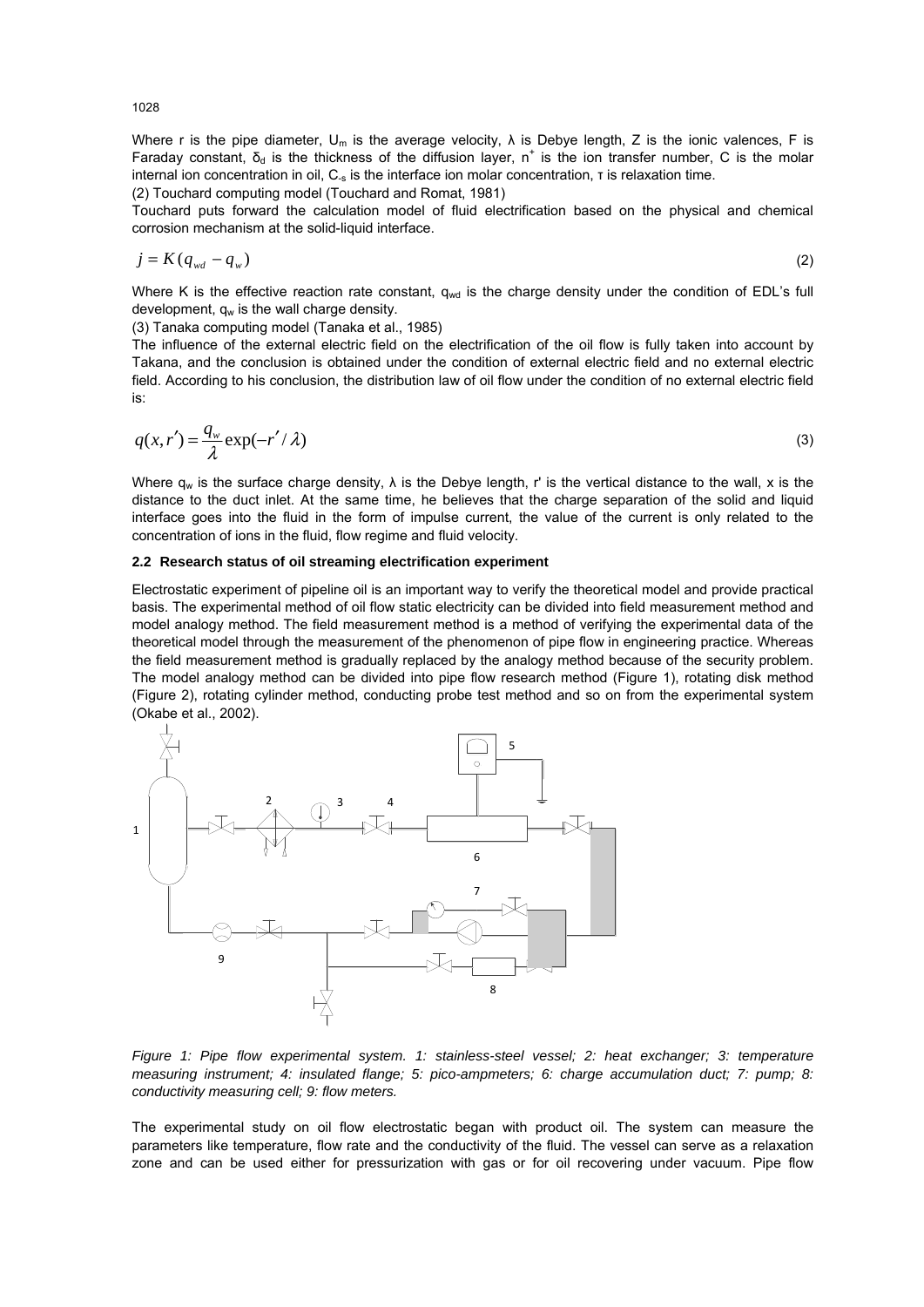Where r is the pipe diameter,  $U_m$  is the average velocity,  $\lambda$  is Debye length, Z is the ionic valences, F is Faraday constant,  $\delta_d$  is the thickness of the diffusion layer, n<sup>+</sup> is the ion transfer number, C is the molar internal ion concentration in oil, C-s is the interface ion molar concentration, τ is relaxation time.

(2) Touchard computing model (Touchard and Romat, 1981)

Touchard puts forward the calculation model of fluid electrification based on the physical and chemical corrosion mechanism at the solid-liquid interface.

$$
j = K(q_{wd} - q_w) \tag{2}
$$

Where K is the effective reaction rate constant,  $q_{wd}$  is the charge density under the condition of EDL's full development,  $q_w$  is the wall charge density.

(3) Tanaka computing model (Tanaka et al., 1985)

The influence of the external electric field on the electrification of the oil flow is fully taken into account by Takana, and the conclusion is obtained under the condition of external electric field and no external electric field. According to his conclusion, the distribution law of oil flow under the condition of no external electric field is:

$$
q(x,r') = \frac{q_w}{\lambda} \exp(-r'/\lambda)
$$
 (3)

Where  $q_w$  is the surface charge density,  $\lambda$  is the Debye length, r' is the vertical distance to the wall, x is the distance to the duct inlet. At the same time, he believes that the charge separation of the solid and liquid interface goes into the fluid in the form of impulse current, the value of the current is only related to the concentration of ions in the fluid, flow regime and fluid velocity.

#### **2.2 Research status of oil streaming electrification experiment**

Electrostatic experiment of pipeline oil is an important way to verify the theoretical model and provide practical basis. The experimental method of oil flow static electricity can be divided into field measurement method and model analogy method. The field measurement method is a method of verifying the experimental data of the theoretical model through the measurement of the phenomenon of pipe flow in engineering practice. Whereas the field measurement method is gradually replaced by the analogy method because of the security problem. The model analogy method can be divided into pipe flow research method (Figure 1), rotating disk method (Figure 2), rotating cylinder method, conducting probe test method and so on from the experimental system (Okabe et al., 2002).



*Figure 1: Pipe flow experimental system. 1: stainless-steel vessel; 2: heat exchanger; 3: temperature measuring instrument; 4: insulated flange; 5: pico-ampmeters; 6: charge accumulation duct; 7: pump; 8: conductivity measuring cell; 9: flow meters.* 

The experimental study on oil flow electrostatic began with product oil. The system can measure the parameters like temperature, flow rate and the conductivity of the fluid. The vessel can serve as a relaxation zone and can be used either for pressurization with gas or for oil recovering under vacuum. Pipe flow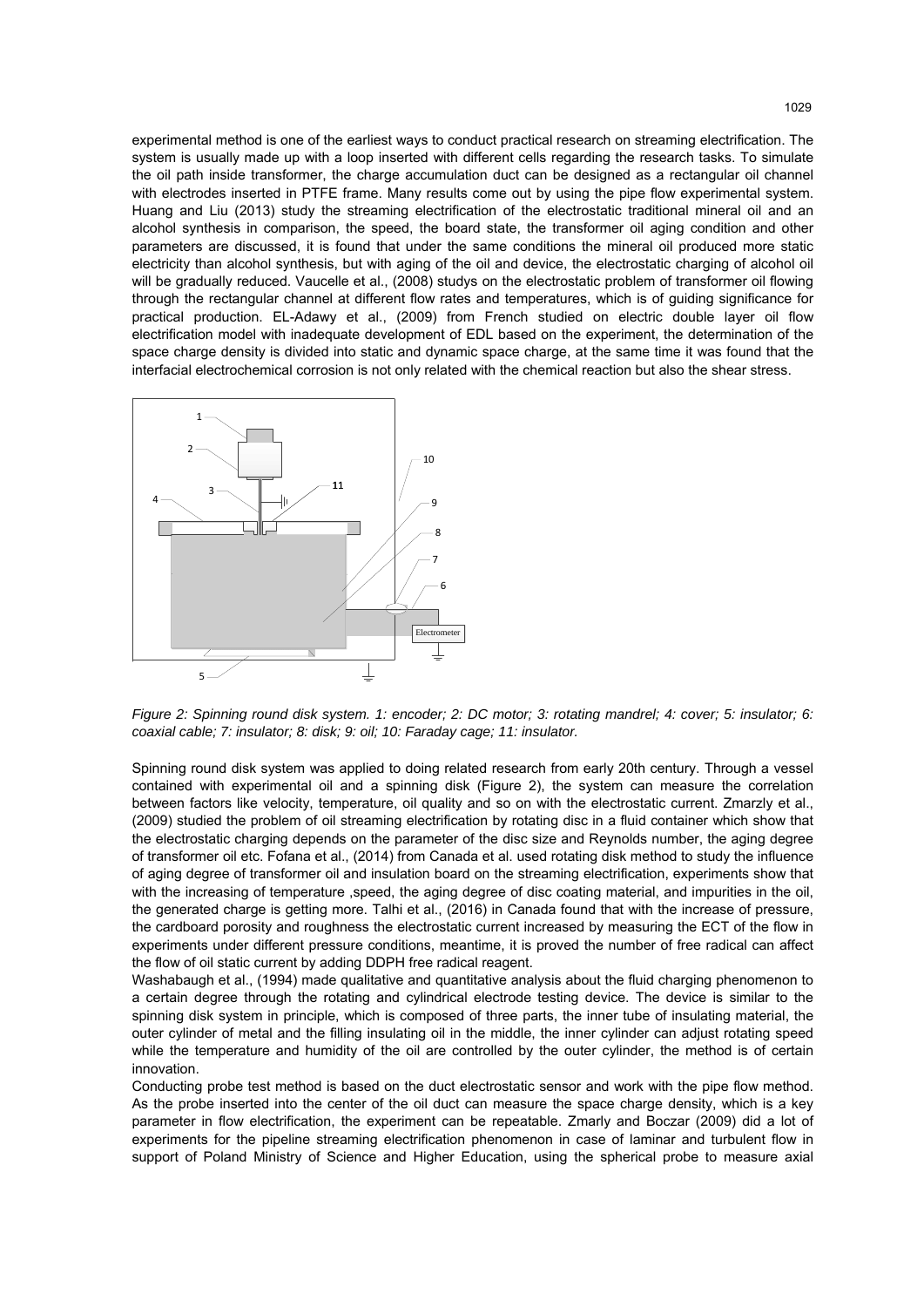experimental method is one of the earliest ways to conduct practical research on streaming electrification. The system is usually made up with a loop inserted with different cells regarding the research tasks. To simulate the oil path inside transformer, the charge accumulation duct can be designed as a rectangular oil channel with electrodes inserted in PTFE frame. Many results come out by using the pipe flow experimental system. Huang and Liu (2013) study the streaming electrification of the electrostatic traditional mineral oil and an alcohol synthesis in comparison, the speed, the board state, the transformer oil aging condition and other parameters are discussed, it is found that under the same conditions the mineral oil produced more static electricity than alcohol synthesis, but with aging of the oil and device, the electrostatic charging of alcohol oil will be gradually reduced. Vaucelle et al., (2008) studys on the electrostatic problem of transformer oil flowing through the rectangular channel at different flow rates and temperatures, which is of guiding significance for practical production. EL-Adawy et al., (2009) from French studied on electric double layer oil flow electrification model with inadequate development of EDL based on the experiment, the determination of the space charge density is divided into static and dynamic space charge, at the same time it was found that the interfacial electrochemical corrosion is not only related with the chemical reaction but also the shear stress.



*Figure 2: Spinning round disk system. 1: encoder; 2: DC motor; 3: rotating mandrel; 4: cover; 5: insulator; 6: coaxial cable; 7: insulator; 8: disk; 9: oil; 10: Faraday cage; 11: insulator.* 

Spinning round disk system was applied to doing related research from early 20th century. Through a vessel contained with experimental oil and a spinning disk (Figure 2), the system can measure the correlation between factors like velocity, temperature, oil quality and so on with the electrostatic current. Zmarzly et al., (2009) studied the problem of oil streaming electrification by rotating disc in a fluid container which show that the electrostatic charging depends on the parameter of the disc size and Reynolds number, the aging degree of transformer oil etc. Fofana et al., (2014) from Canada et al. used rotating disk method to study the influence of aging degree of transformer oil and insulation board on the streaming electrification, experiments show that with the increasing of temperature , speed, the aging degree of disc coating material, and impurities in the oil, the generated charge is getting more. Talhi et al., (2016) in Canada found that with the increase of pressure, the cardboard porosity and roughness the electrostatic current increased by measuring the ECT of the flow in experiments under different pressure conditions, meantime, it is proved the number of free radical can affect the flow of oil static current by adding DDPH free radical reagent.

Washabaugh et al., (1994) made qualitative and quantitative analysis about the fluid charging phenomenon to a certain degree through the rotating and cylindrical electrode testing device. The device is similar to the spinning disk system in principle, which is composed of three parts, the inner tube of insulating material, the outer cylinder of metal and the filling insulating oil in the middle, the inner cylinder can adjust rotating speed while the temperature and humidity of the oil are controlled by the outer cylinder, the method is of certain innovation.

Conducting probe test method is based on the duct electrostatic sensor and work with the pipe flow method. As the probe inserted into the center of the oil duct can measure the space charge density, which is a key parameter in flow electrification, the experiment can be repeatable. Zmarly and Boczar (2009) did a lot of experiments for the pipeline streaming electrification phenomenon in case of laminar and turbulent flow in support of Poland Ministry of Science and Higher Education, using the spherical probe to measure axial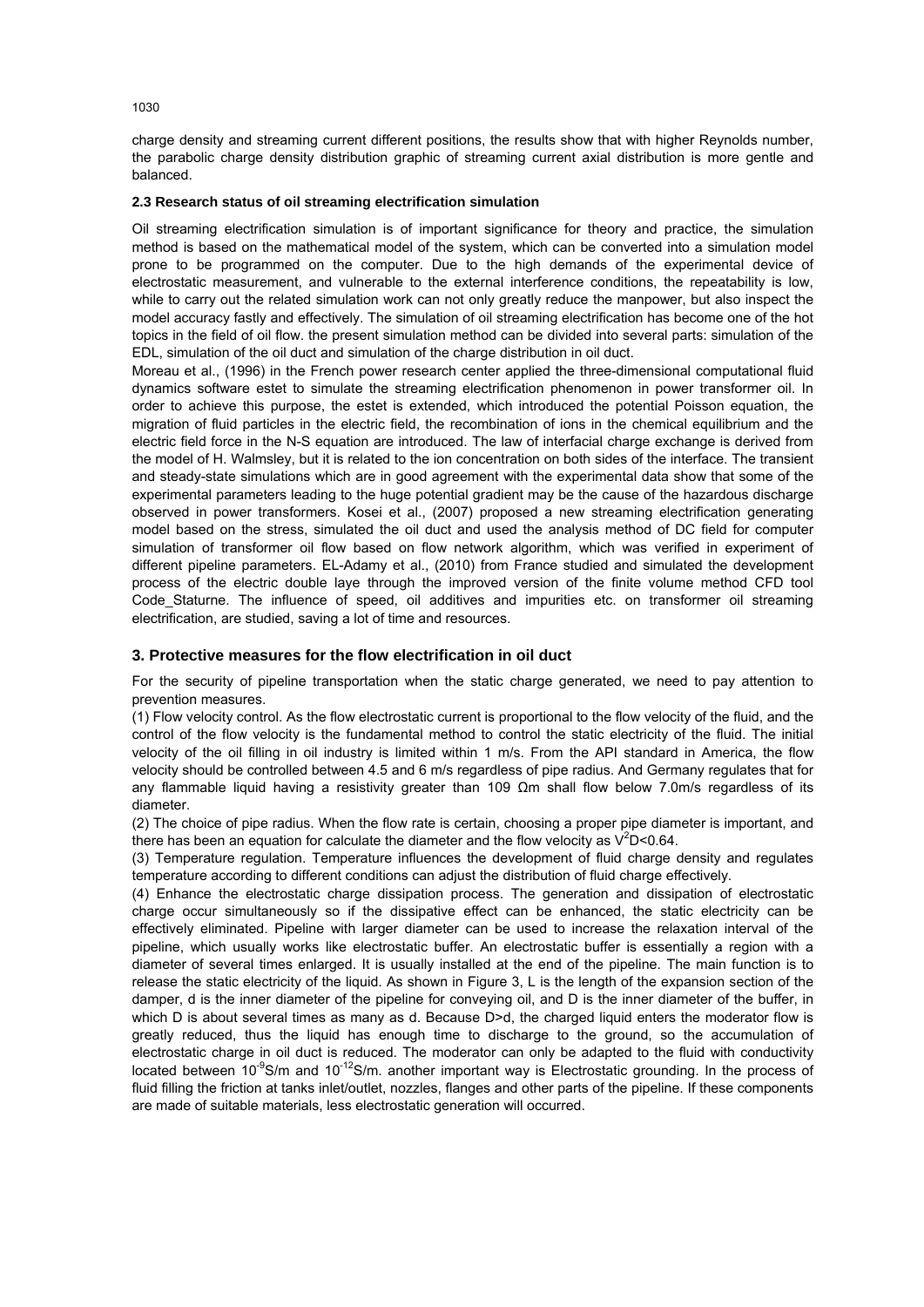charge density and streaming current different positions, the results show that with higher Reynolds number, the parabolic charge density distribution graphic of streaming current axial distribution is more gentle and balanced.

#### **2.3 Research status of oil streaming electrification simulation**

Oil streaming electrification simulation is of important significance for theory and practice, the simulation method is based on the mathematical model of the system, which can be converted into a simulation model prone to be programmed on the computer. Due to the high demands of the experimental device of electrostatic measurement, and vulnerable to the external interference conditions, the repeatability is low, while to carry out the related simulation work can not only greatly reduce the manpower, but also inspect the model accuracy fastly and effectively. The simulation of oil streaming electrification has become one of the hot topics in the field of oil flow. the present simulation method can be divided into several parts: simulation of the EDL, simulation of the oil duct and simulation of the charge distribution in oil duct.

Moreau et al., (1996) in the French power research center applied the three-dimensional computational fluid dynamics software estet to simulate the streaming electrification phenomenon in power transformer oil. In order to achieve this purpose, the estet is extended, which introduced the potential Poisson equation, the migration of fluid particles in the electric field, the recombination of ions in the chemical equilibrium and the electric field force in the N-S equation are introduced. The law of interfacial charge exchange is derived from the model of H. Walmsley, but it is related to the ion concentration on both sides of the interface. The transient and steady-state simulations which are in good agreement with the experimental data show that some of the experimental parameters leading to the huge potential gradient may be the cause of the hazardous discharge observed in power transformers. Kosei et al., (2007) proposed a new streaming electrification generating model based on the stress, simulated the oil duct and used the analysis method of DC field for computer simulation of transformer oil flow based on flow network algorithm, which was verified in experiment of different pipeline parameters. EL-Adamy et al., (2010) from France studied and simulated the development process of the electric double laye through the improved version of the finite volume method CFD tool Code\_Staturne. The influence of speed, oil additives and impurities etc. on transformer oil streaming electrification, are studied, saving a lot of time and resources.

# **3. Protective measures for the flow electrification in oil duct**

For the security of pipeline transportation when the static charge generated, we need to pay attention to prevention measures.

(1) Flow velocity control. As the flow electrostatic current is proportional to the flow velocity of the fluid, and the control of the flow velocity is the fundamental method to control the static electricity of the fluid. The initial velocity of the oil filling in oil industry is limited within 1 m/s. From the API standard in America, the flow velocity should be controlled between 4.5 and 6 m/s regardless of pipe radius. And Germany regulates that for any flammable liquid having a resistivity greater than 109  $\Omega$ m shall flow below 7.0m/s regardless of its diameter.

(2) The choice of pipe radius. When the flow rate is certain, choosing a proper pipe diameter is important, and there has been an equation for calculate the diameter and the flow velocity as  $\sqrt{2}D < 0.64$ .

(3) Temperature regulation. Temperature influences the development of fluid charge density and regulates temperature according to different conditions can adjust the distribution of fluid charge effectively.

(4) Enhance the electrostatic charge dissipation process. The generation and dissipation of electrostatic charge occur simultaneously so if the dissipative effect can be enhanced, the static electricity can be effectively eliminated. Pipeline with larger diameter can be used to increase the relaxation interval of the pipeline, which usually works like electrostatic buffer. An electrostatic buffer is essentially a region with a diameter of several times enlarged. It is usually installed at the end of the pipeline. The main function is to release the static electricity of the liquid. As shown in Figure 3, L is the length of the expansion section of the damper, d is the inner diameter of the pipeline for conveying oil, and D is the inner diameter of the buffer, in which D is about several times as many as d. Because D>d, the charged liquid enters the moderator flow is greatly reduced, thus the liquid has enough time to discharge to the ground, so the accumulation of electrostatic charge in oil duct is reduced. The moderator can only be adapted to the fluid with conductivity located between 10<sup>-9</sup>S/m and 10<sup>-12</sup>S/m. another important way is Electrostatic grounding. In the process of fluid filling the friction at tanks inlet/outlet, nozzles, flanges and other parts of the pipeline. If these components are made of suitable materials, less electrostatic generation will occurred.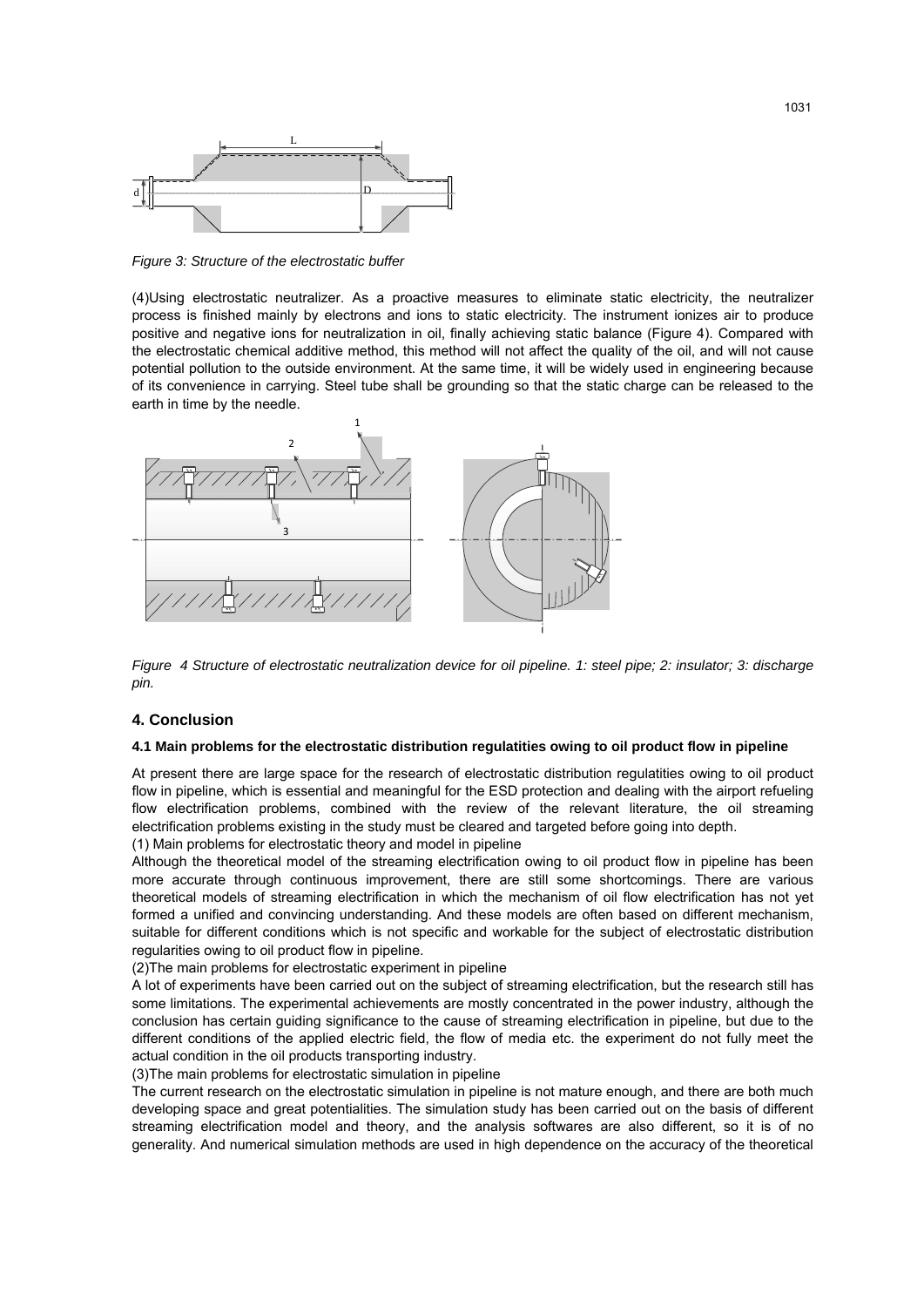

*Figure 3: Structure of the electrostatic buffer* 

(4)Using electrostatic neutralizer. As a proactive measures to eliminate static electricity, the neutralizer process is finished mainly by electrons and ions to static electricity. The instrument ionizes air to produce positive and negative ions for neutralization in oil, finally achieving static balance (Figure 4). Compared with the electrostatic chemical additive method, this method will not affect the quality of the oil, and will not cause potential pollution to the outside environment. At the same time, it will be widely used in engineering because of its convenience in carrying. Steel tube shall be grounding so that the static charge can be released to the earth in time by the needle.



*Figure 4 Structure of electrostatic neutralization device for oil pipeline. 1: steel pipe; 2: insulator; 3: discharge pin.* 

#### **4. Conclusion**

#### **4.1 Main problems for the electrostatic distribution regulatities owing to oil product flow in pipeline**

At present there are large space for the research of electrostatic distribution regulatities owing to oil product flow in pipeline, which is essential and meaningful for the ESD protection and dealing with the airport refueling flow electrification problems, combined with the review of the relevant literature, the oil streaming electrification problems existing in the study must be cleared and targeted before going into depth.

(1) Main problems for electrostatic theory and model in pipeline

Although the theoretical model of the streaming electrification owing to oil product flow in pipeline has been more accurate through continuous improvement, there are still some shortcomings. There are various theoretical models of streaming electrification in which the mechanism of oil flow electrification has not yet formed a unified and convincing understanding. And these models are often based on different mechanism, suitable for different conditions which is not specific and workable for the subject of electrostatic distribution regularities owing to oil product flow in pipeline.

(2)The main problems for electrostatic experiment in pipeline

A lot of experiments have been carried out on the subject of streaming electrification, but the research still has some limitations. The experimental achievements are mostly concentrated in the power industry, although the conclusion has certain guiding significance to the cause of streaming electrification in pipeline, but due to the different conditions of the applied electric field, the flow of media etc. the experiment do not fully meet the actual condition in the oil products transporting industry.

(3)The main problems for electrostatic simulation in pipeline

The current research on the electrostatic simulation in pipeline is not mature enough, and there are both much developing space and great potentialities. The simulation study has been carried out on the basis of different streaming electrification model and theory, and the analysis softwares are also different, so it is of no generality. And numerical simulation methods are used in high dependence on the accuracy of the theoretical